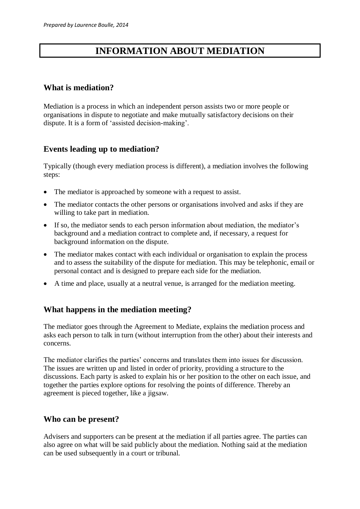# **INFORMATION ABOUT MEDIATION**

## **What is mediation?**

Mediation is a process in which an independent person assists two or more people or organisations in dispute to negotiate and make mutually satisfactory decisions on their dispute. It is a form of 'assisted decision-making'.

# **Events leading up to mediation?**

Typically (though every mediation process is different), a mediation involves the following steps:

- The mediator is approached by some one with a request to assist.
- The mediator contacts the other persons or organisations involved and asks if they are willing to take part in mediation.
- If so, the mediator sends to each person information about mediation, the mediator's background and a mediation contract to complete and, if necessary, a request for background information on the dispute.
- The mediator makes contact with each individual or organisation to explain the process and to assess the suitability of the dispute for mediation. This may be telephonic, email or personal contact and is designed to prepare each side for the mediation.
- A time and place, usually at a neutral venue, is arranged for the mediation meeting.

# **What happens in the mediation meeting?**

The mediator goes through the Agreement to Mediate, explains the mediation process and asks each person to talk in turn (without interruption from the other) about their interests and concerns.

The mediator clarifies the parties' concerns and translates them into issues for discussion. The issues are written up and listed in order of priority, providing a structure to the discussions. Each party is asked to explain his or her position to the other on each issue, and together the parties explore options for resolving the points of difference. Thereby an agreement is pieced together, like a jigsaw.

#### **Who can be present?**

Advisers and supporters can be present at the mediation if all parties agree. The parties can also agree on what will be said publicly about the mediation. Nothing said at the mediation can be used subsequently in a court or tribunal.